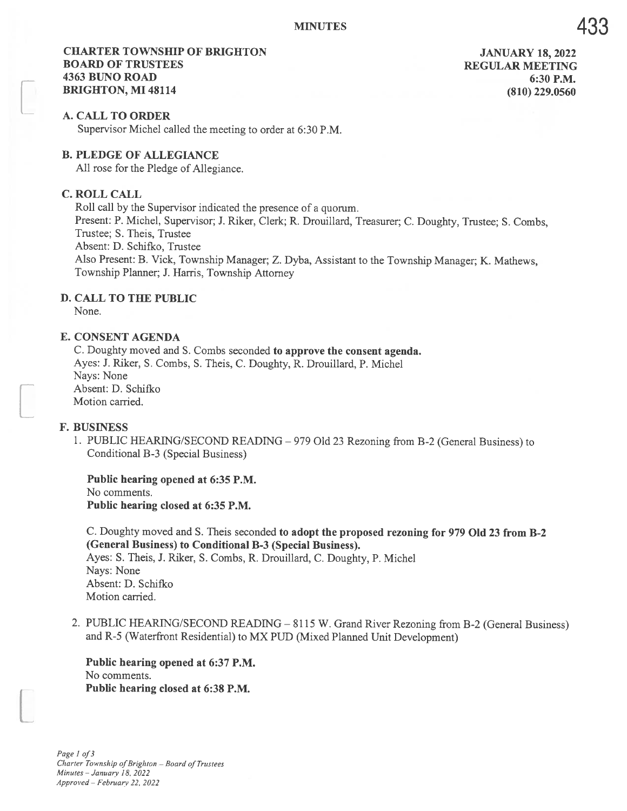### CHARTER TOWNSHIP OF BRIGHTON JANUARY 18, 2022 BOARD OF TRUSTEES REGULAR MEETING 4363 BUNO ROAD 6:30 P.M. BRIGHTON, MI 48114 (810) 229.0560

#### A. CALL TO ORDER

Supervisor Michel called the meeting to order at 6:30 P.M.

#### B. PLEDGE OF ALLEGIANCE

All rose for the Pledge of Allegiance.

#### C. ROLL CALL

Roll call by the Supervisor indicated the presence of <sup>a</sup> quorum.

Present: P. Michel, Supervisor; J. Riker, Clerk; R. Drouillard, Treasurer; C. Doughty, Trustee; S. Combs, Trustee; S. Theis, Trustee

Absent: D. Schifko, Trustee

Also Present: B. Vick, Township Manager; Z. Dyba, Assistant to the Township Manager; K. Mathews, Township Planner; J. Harris, Township Attorney

#### D. CALL TO THE PUBLIC

None.

#### E. CONSENT AGENDA

C. Doughty moved and S. Combs seconded to approve the consent agenda. Ayes: J. Riker, S. Combs, S. Theis, C. Doughty, R. Drouillard, P. Michel Nays: None Absent: D. Schifko Motion carried.

#### F. BUSINESS

1. PUBLIC HEARING/SECOND READING — 979 Old 23 Rezoning from B-2 (General Business) to Conditional B-3 (Special Business)

Public hearing opened at 6:35 P.M. No comments. Public hearing closed at 6:35 P.M.

C. Doughty moved and S. Theis seconded to adopt the proposed rezoning for 979 Old 23 from B-2 (General Business) to Conditional B-3 (Special Business). Ayes: S. Theis, 3. Riker, S. Combs, R. Drouillard, C. Doughty, P. Michel Nays: None

Absent: D. Schifko Motion carried.

2. PUBLIC HEARiNG/SECOND READING — 8115 W. Grand River Rezoning from B-2 (General Business) and R-5 (Waterfront Residential) to MX PUD (Mixed Planned Unit Development)

Public hearing opened at 6:37 P.M. No comments. Public hearing closed at 6:38 P.M.

Page 1 of 3 Charter Township of Brighton - Board of Trustees Minutes — January 18. 2022 Approved — February 22, 2022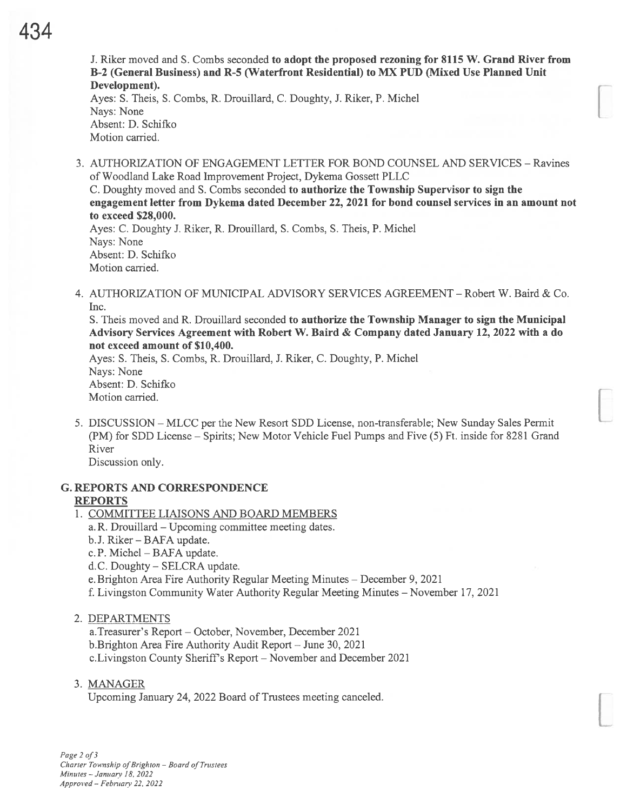J. Riker moved and S. Combs seconded to adopt the proposed rezoning for 8115 W. Grand River from B-2 (General Business) and R-5 (Waterfront Residential) to MX PUD (Mixed Use Planned Unit Development).

Ayes: S. Theis, S. Combs, R. Drouillard, C. Doughty, J. Riker, P. Michel Nays: None Absent: D. Schifko Motion carried.

3. AUTHORIZATION OF ENGAGEMENT LETTER FOR BOND COUNSEL AND SERVICES - Ravines of Woodland Lake Road Improvement Project, Dykema Gossett PLLC

C. Doughty moved and S. Combs seconded to authorize the Township Supervisor to sign the engagement letter from Dykema dated December 22, 2021 for bond counsel services in an amount not to exceed \$28,000.

Ayes: C. Doughty J. Riker, R. Drouillard, S. Combs, S. Theis, P. Michel Nays: None Absent: D. Schifko Motion carried.

4. AUTHORIZATION OF MUNICIPAL ADVISORY SERVICES AGREEMENT -Robert W. Baird & Co. Inc.

S. Theis moved and R. Drouillard seconded to authorize the Township Manager to sign the Municipal Advisory Services Agreement with Robert W. Baird & Company dated January 12, 2022 with <sup>a</sup> do not exceed amount of \$10,400.

Ayes: S. Theis, S. Combs, R. Drouillard, J. Riker, C. Doughty, P. Michel Nays: None Absent: D. Schifko Motion carried.

5. DISCUSSION — MLCC per the New Resort SDD License, non-transferable; New Sunday Sales Permit (PM) for SDD License — Spirits; New Motor Vehicle Fuel Pumps and Five (5) Ft. inside for 8281 Grand River

Discussion only.

### G. REPORTS AND CORRESPONDENCE REPORTS

- 1. COMMITTEE LIAISONS AND BOARD MEMBERS
	- a. R. Drouillard Upcoming committee meeting dates.
	- b.J. Riker BAFA update.
	- c. P. Michel BAFA update.

d.C. Doughty — SELCRA update.

- e. Brighton Area Fire Authority Regular Meeting Minutes December 9, 2021
- f. Livingston Community Water Authority Regular Meeting Minutes November 17, 2021
- 2. DEPARTMENTS

a.Treasurer's Report – October, November, December 2021

b.Brighton Area Fire Authority Audit Report — June 30, 2021

c.Livingston County Sheriff's Report — November and December 2021

# 3. MANAGER

Upcoming January 24, 2022 Board of Trustees meeting canceled.